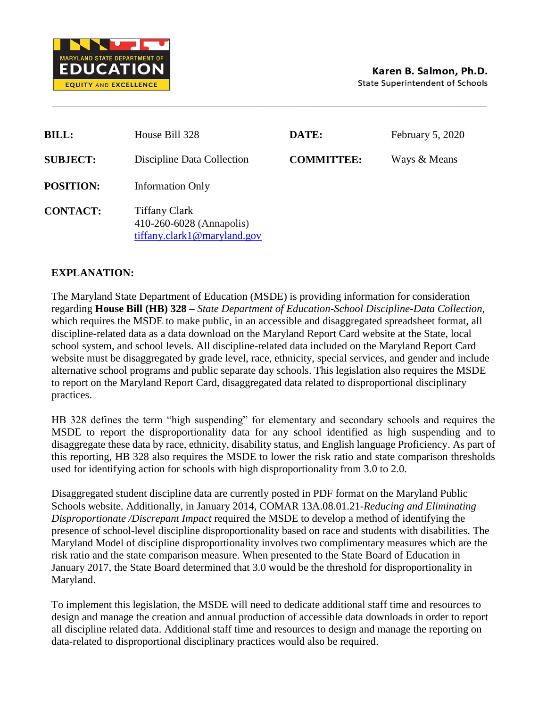

| <b>BILL:</b>     | House Bill 328                                                                  | DATE:             | February 5, 2020 |
|------------------|---------------------------------------------------------------------------------|-------------------|------------------|
| <b>SUBJECT:</b>  | Discipline Data Collection                                                      | <b>COMMITTEE:</b> | Ways & Means     |
| <b>POSITION:</b> | <b>Information Only</b>                                                         |                   |                  |
| <b>CONTACT:</b>  | <b>Tiffany Clark</b><br>410-260-6028 (Annapolis)<br>tiffany.clark1@maryland.gov |                   |                  |

## **EXPLANATION:**

The Maryland State Department of Education (MSDE) is providing information for consideration regarding **House Bill (HB) 328 –** *State Department of Education-School Discipline-Data Collection,* which requires the MSDE to make public, in an accessible and disaggregated spreadsheet format, all discipline-related data as a data download on the Maryland Report Card website at the State, local school system, and school levels. All discipline-related data included on the Maryland Report Card website must be disaggregated by grade level, race, ethnicity, special services, and gender and include alternative school programs and public separate day schools. This legislation also requires the MSDE to report on the Maryland Report Card, disaggregated data related to disproportional disciplinary practices.

HB 328 defines the term "high suspending" for elementary and secondary schools and requires the MSDE to report the disproportionality data for any school identified as high suspending and to disaggregate these data by race, ethnicity, disability status, and English language Proficiency. As part of this reporting, HB 328 also requires the MSDE to lower the risk ratio and state comparison thresholds used for identifying action for schools with high disproportionality from 3.0 to 2.0.

Disaggregated student discipline data are currently posted in PDF format on the Maryland Public Schools website. Additionally, in January 2014, COMAR 13A.08.01.21-*Reducing and Eliminating Disproportionate /Discrepant Impact* required the MSDE to develop a method of identifying the presence of school-level discipline disproportionality based on race and students with disabilities. The Maryland Model of discipline disproportionality involves two complimentary measures which are the risk ratio and the state comparison measure. When presented to the State Board of Education in January 2017, the State Board determined that 3.0 would be the threshold for disproportionality in Maryland.

To implement this legislation, the MSDE will need to dedicate additional staff time and resources to design and manage the creation and annual production of accessible data downloads in order to report all discipline related data. Additional staff time and resources to design and manage the reporting on data-related to disproportional disciplinary practices would also be required.